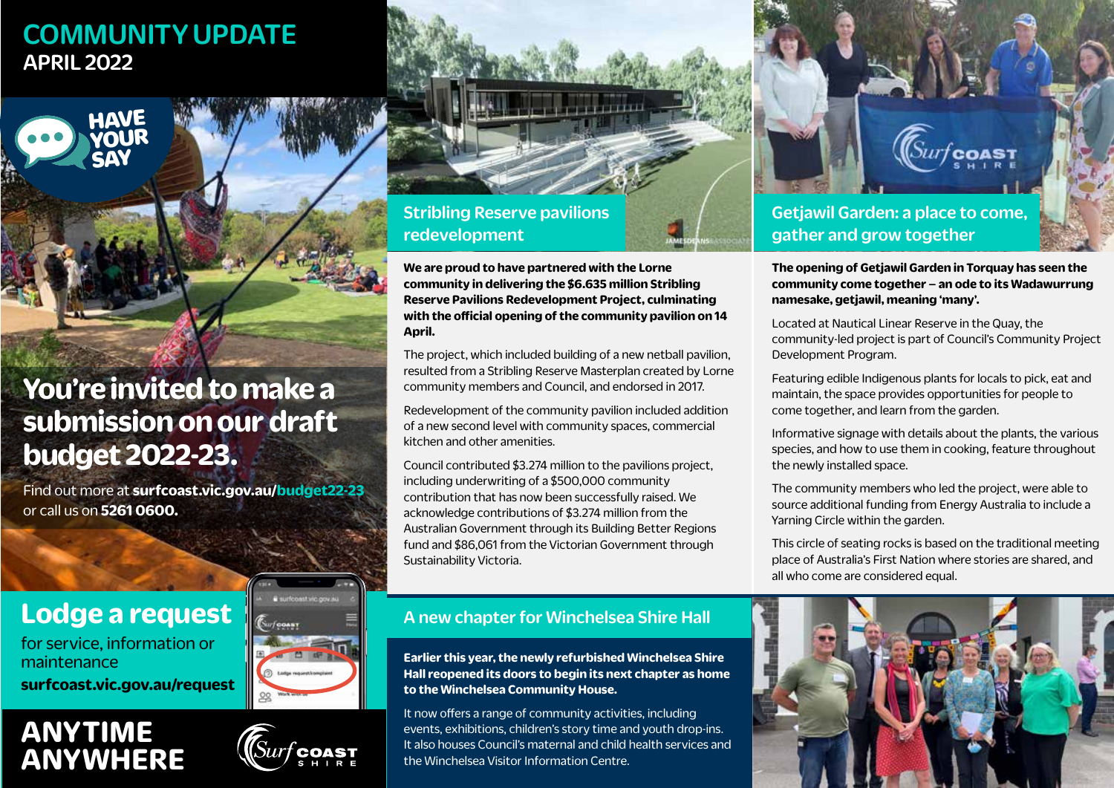## COMMUNITY UPDATE APRIL 2022



## **You're invited to make a submission on our draft budget 2022-23.**

Find out more at **surfcoast.vic.gov.au/budget22-23** or call us on **5261 0600.**

## **Lodge a request**

for service, information or maintenance **surfcoast.vic.gov.au/request**

## **ANYTIME ANYWHERE**





**We are proud to have partnered with the Lorne community in delivering the \$6.635 million Stribling Reserve Pavilions Redevelopment Project, culminating with the official opening of the community pavilion on 14 April.**

The project, which included building of a new netball pavilion, resulted from a Stribling Reserve Masterplan created by Lorne community members and Council, and endorsed in 2017.

Redevelopment of the community pavilion included addition of a new second level with community spaces, commercial kitchen and other amenities.

Council contributed \$3.274 million to the pavilions project, including underwriting of a \$500,000 community contribution that has now been successfully raised. We acknowledge contributions of \$3.274 million from the Australian Government through its Building Better Regions fund and \$86,061 from the Victorian Government through Sustainability Victoria.

### A new chapter for Winchelsea Shire Hall

**Earlier this year, the newly refurbished Winchelsea Shire Hall reopened its doors to begin its next chapter as home to the Winchelsea Community House.**

It now offers a range of community activities, including events, exhibitions, children's story time and youth drop-ins. It also houses Council's maternal and child health services and the Winchelsea Visitor Information Centre.

Getjawil Garden: a place to come, gather and grow together

**The opening of Getjawil Garden in Torquay has seen the community come together – an ode to its Wadawurrung namesake, getjawil, meaning 'many'.**

*urf* coast

Located at Nautical Linear Reserve in the Quay, the community-led project is part of Council's Community Project Development Program.

Featuring edible Indigenous plants for locals to pick, eat and maintain, the space provides opportunities for people to come together, and learn from the garden.

Informative signage with details about the plants, the various species, and how to use them in cooking, feature throughout the newly installed space.

The community members who led the project, were able to source additional funding from Energy Australia to include a Yarning Circle within the garden.

This circle of seating rocks is based on the traditional meeting place of Australia's First Nation where stories are shared, and all who come are considered equal.